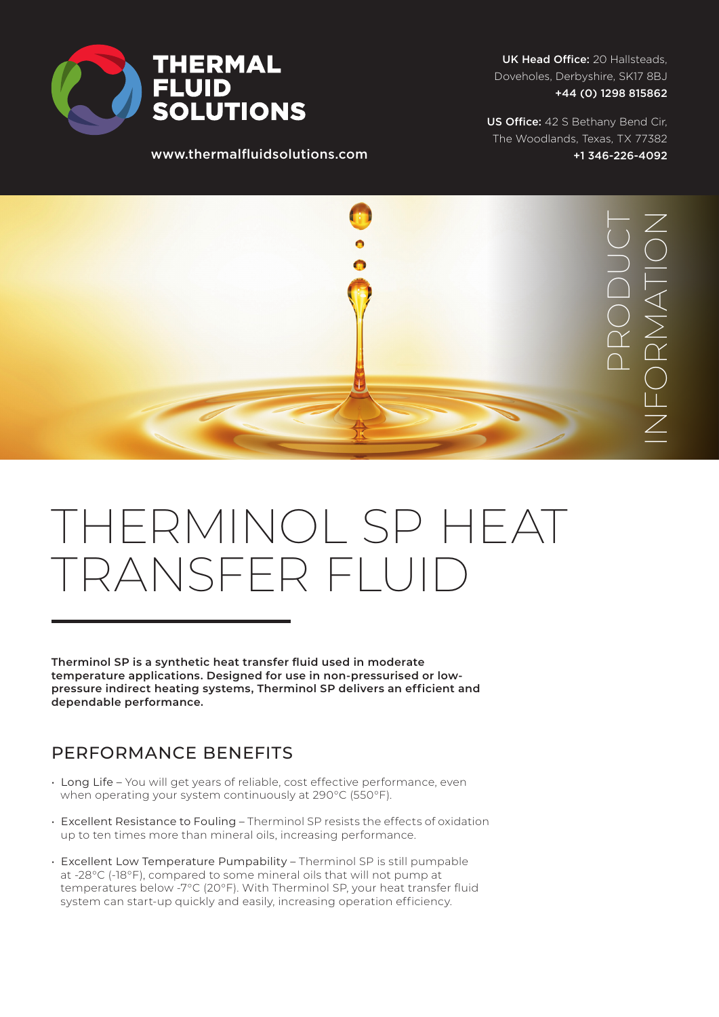

www.thermalfluidsolutions.com

UK Head Office: 20 Hallsteads, Doveholes, Derbyshire, SK17 8BJ +44 (0) 1298 815862

US Office: 42 S Bethany Bend Cir, The Woodlands, Texas, TX 77382 +1 346-226-4092



## THERMINOL SP HEAT TRANSFER FLUID

**Therminol SP is a synthetic heat transfer fluid used in moderate temperature applications. Designed for use in non-pressurised or lowpressure indirect heating systems, Therminol SP delivers an efficient and dependable performance.**

## PERFORMANCE BENEFITS

- Long Life You will get years of reliable, cost effective performance, even when operating your system continuously at 290°C (550°F).
- Excellent Resistance to Fouling Therminol SP resists the effects of oxidation up to ten times more than mineral oils, increasing performance.
- Excellent Low Temperature Pumpability Therminol SP is still pumpable at -28°C (-18°F), compared to some mineral oils that will not pump at temperatures below -7°C (20°F). With Therminol SP, your heat transfer fluid system can start-up quickly and easily, increasing operation efficiency.